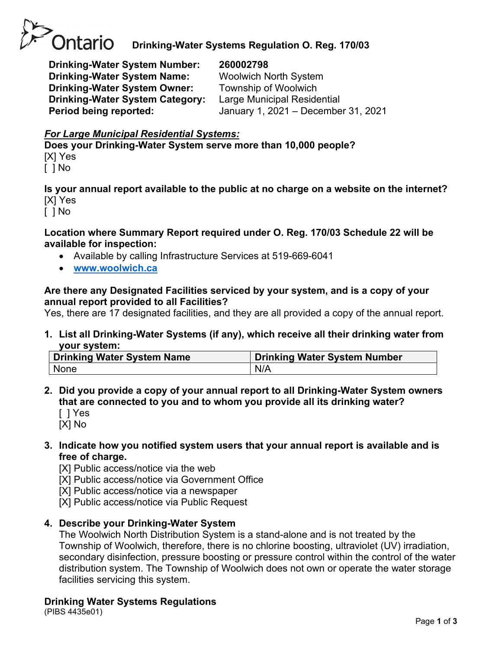

# **Drinking-Water Systems Regulation O. Reg. 170/03**

**Drinking-Water System Number: 260002798 Drinking-Water System Name:** Woolwich North System **Drinking-Water System Owner:** Township of Woolwich **Drinking-Water System Category:** Large Municipal Residential

**Period being reported:** January 1, 2021 – December 31, 2021

# *For Large Municipal Residential Systems:*

**Does your Drinking-Water System serve more than 10,000 people?** [X] Yes [ ] No

**Is your annual report available to the public at no charge on a website on the internet?** [X] Yes

[ ] No

#### **Location where Summary Report required under O. Reg. 170/03 Schedule 22 will be available for inspection:**

- Available by calling Infrastructure Services at 519-669-6041
- **[www.woolwich.ca](http://www.woolwich.ca/)**

#### **Are there any Designated Facilities serviced by your system, and is a copy of your annual report provided to all Facilities?**

Yes, there are 17 designated facilities, and they are all provided a copy of the annual report.

**1. List all Drinking-Water Systems (if any), which receive all their drinking water from your system:**

| Drinking Water System Name | <b>Drinking Water System Number</b> |
|----------------------------|-------------------------------------|
| None                       | N/A                                 |

- **2. Did you provide a copy of your annual report to all Drinking-Water System owners that are connected to you and to whom you provide all its drinking water?** 
	- [ ] Yes [X] No

**3. Indicate how you notified system users that your annual report is available and is free of charge.** 

[X] Public access/notice via the web

[X] Public access/notice via Government Office

[X] Public access/notice via a newspaper

[X] Public access/notice via Public Request

#### **4. Describe your Drinking-Water System**

The Woolwich North Distribution System is a stand-alone and is not treated by the Township of Woolwich, therefore, there is no chlorine boosting, ultraviolet (UV) irradiation, secondary disinfection, pressure boosting or pressure control within the control of the water distribution system. The Township of Woolwich does not own or operate the water storage facilities servicing this system.

#### **Drinking Water Systems Regulations**

(PIBS 4435e01)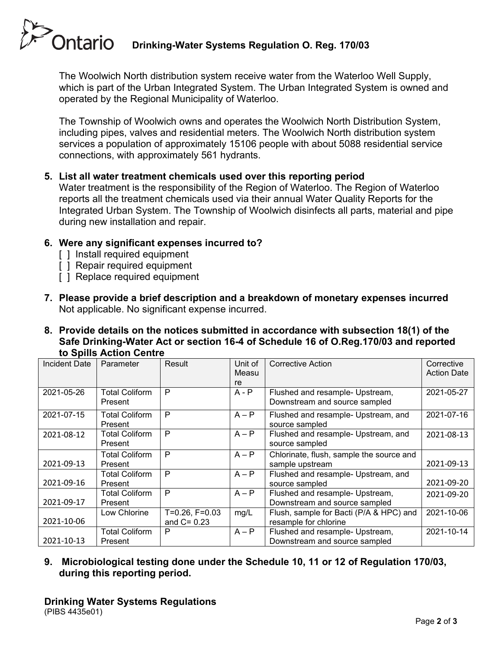# **Ontario Drinking-Water Systems Regulation O. Reg. 170/03**

The Woolwich North distribution system receive water from the Waterloo Well Supply, which is part of the Urban Integrated System. The Urban Integrated System is owned and operated by the Regional Municipality of Waterloo.

The Township of Woolwich owns and operates the Woolwich North Distribution System, including pipes, valves and residential meters. The Woolwich North distribution system services a population of approximately 15106 people with about 5088 residential service connections, with approximately 561 hydrants.

# **5. List all water treatment chemicals used over this reporting period**

Water treatment is the responsibility of the Region of Waterloo. The Region of Waterloo reports all the treatment chemicals used via their annual Water Quality Reports for the Integrated Urban System. The Township of Woolwich disinfects all parts, material and pipe during new installation and repair.

#### **6. Were any significant expenses incurred to?**

- [ ] Install required equipment
- [ ] Repair required equipment
- [ ] Replace required equipment
- **7. Please provide a brief description and a breakdown of monetary expenses incurred** Not applicable. No significant expense incurred.
- **8. Provide details on the notices submitted in accordance with subsection 18(1) of the Safe Drinking-Water Act or section 16-4 of Schedule 16 of O.Reg.170/03 and reported to Spills Action Centre**

| <b>Incident Date</b> | Parameter                        | Result                             | Unit of<br>Measu<br>re | <b>Corrective Action</b>                                         | Corrective<br><b>Action Date</b> |
|----------------------|----------------------------------|------------------------------------|------------------------|------------------------------------------------------------------|----------------------------------|
| 2021-05-26           | <b>Total Coliform</b><br>Present | P                                  | $A - P$                | Flushed and resample- Upstream,<br>Downstream and source sampled | 2021-05-27                       |
| 2021-07-15           | <b>Total Coliform</b><br>Present | P                                  | $A - P$                | Flushed and resample- Upstream, and<br>source sampled            | 2021-07-16                       |
| 2021-08-12           | <b>Total Coliform</b><br>Present | P                                  | $A - P$                | Flushed and resample- Upstream, and<br>source sampled            | 2021-08-13                       |
| 2021-09-13           | <b>Total Coliform</b><br>Present | P                                  | $A - P$                | Chlorinate, flush, sample the source and<br>sample upstream      | 2021-09-13                       |
| 2021-09-16           | <b>Total Coliform</b><br>Present | P                                  | $A - P$                | Flushed and resample- Upstream, and<br>source sampled            | 2021-09-20                       |
| 2021-09-17           | <b>Total Coliform</b><br>Present | P                                  | $A - P$                | Flushed and resample- Upstream,<br>Downstream and source sampled | 2021-09-20                       |
| 2021-10-06           | Low Chlorine                     | $T=0.26, F=0.03$<br>and $C = 0.23$ | mg/L                   | Flush, sample for Bacti (P/A & HPC) and<br>resample for chlorine | 2021-10-06                       |
| 2021-10-13           | <b>Total Coliform</b><br>Present | P                                  | $A - P$                | Flushed and resample- Upstream,<br>Downstream and source sampled | 2021-10-14                       |

**9. Microbiological testing done under the Schedule 10, 11 or 12 of Regulation 170/03, during this reporting period.**